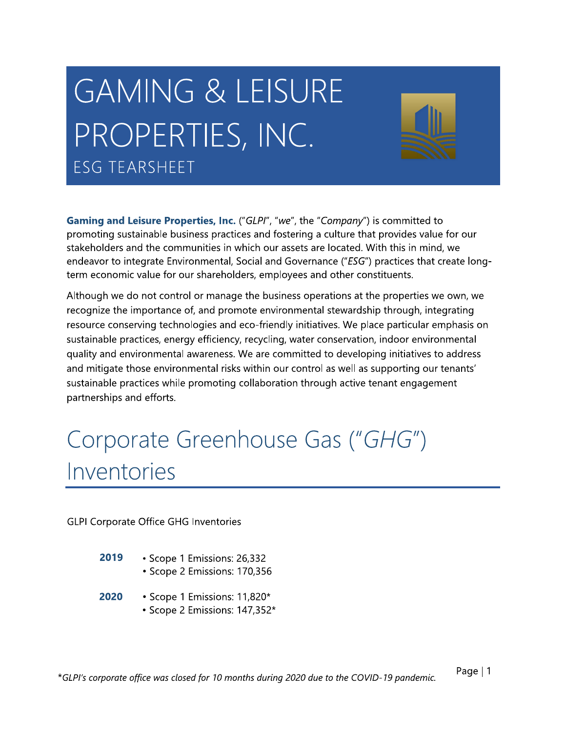# GAMING & LEISURE PROPERTIES, INC. **ESG TEARSHEET**



Gaming and Leisure Properties, Inc. ("GLPI", "we", the "Company") is committed to promoting sustainable business practices and fostering a culture that provides value for our stakeholders and the communities in which our assets are located. With this in mind, we endeavor to integrate Environmental, Social and Governance ("ESG") practices that create longterm economic value for our shareholders, employees and other constituents.

Although we do not control or manage the business operations at the properties we own, we recognize the importance of, and promote environmental stewardship through, integrating resource conserving technologies and eco-friendly initiatives. We place particular emphasis on sustainable practices, energy efficiency, recycling, water conservation, indoor environmental quality and environmental awareness. We are committed to developing initiatives to address and mitigate those environmental risks within our control as well as supporting our tenants' sustainable practices while promoting collaboration through active tenant engagement partnerships and efforts.

# Corporate Greenhouse Gas ("GHG") Inventories

**GLPI Corporate Office GHG Inventories** 

| 2019 | • Scope 1 Emissions: 26,332 |
|------|-----------------------------|
|------|-----------------------------|

- Scope 2 Emissions: 170,356
- 2020 • Scope 1 Emissions: 11,820\* • Scope 2 Emissions: 147,352\*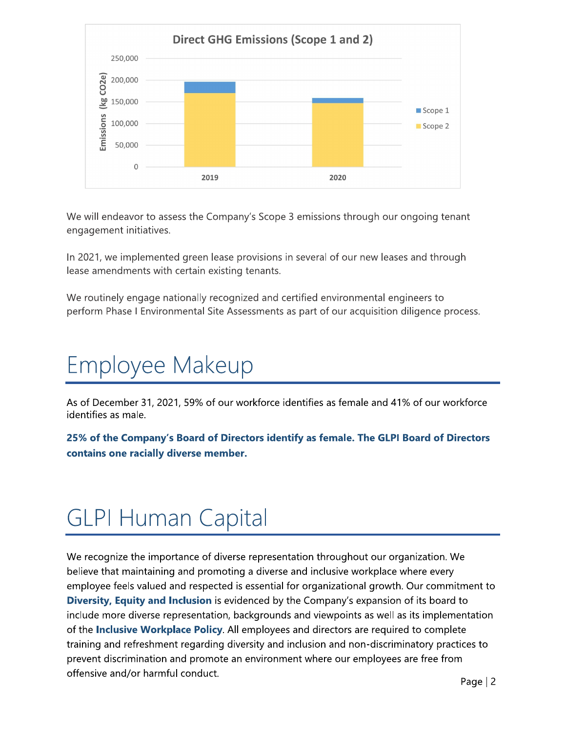

We will endeavor to assess the Company's Scope 3 emissions through our ongoing tenant engagement initiatives.

In 2021, we implemented green lease provisions in several of our new leases and through lease amendments with certain existing tenants.

We routinely engage nationally recognized and certified environmental engineers to perform Phase I Environmental Site Assessments as part of our acquisition diligence process.

# Employee Makeup

As of December 31, 2021, 59% of our workforce identifies as female and 41% of our workforce identifies as male.

25% of the Company's Board of Directors identify as female. The GLPI Board of Directors contains one racially diverse member.

# **GLPI Human Capital**

We recognize the importance of diverse representation throughout our organization. We believe that maintaining and promoting a diverse and inclusive workplace where every employee feels valued and respected is essential for organizational growth. Our commitment to Diversity, Equity and Inclusion is evidenced by the Company's expansion of its board to include more diverse representation, backgrounds and viewpoints as well as its implementation of the Inclusive Workplace Policy. All employees and directors are required to complete training and refreshment regarding diversity and inclusion and non-discriminatory practices to prevent discrimination and promote an environment where our employees are free from offensive and/or harmful conduct.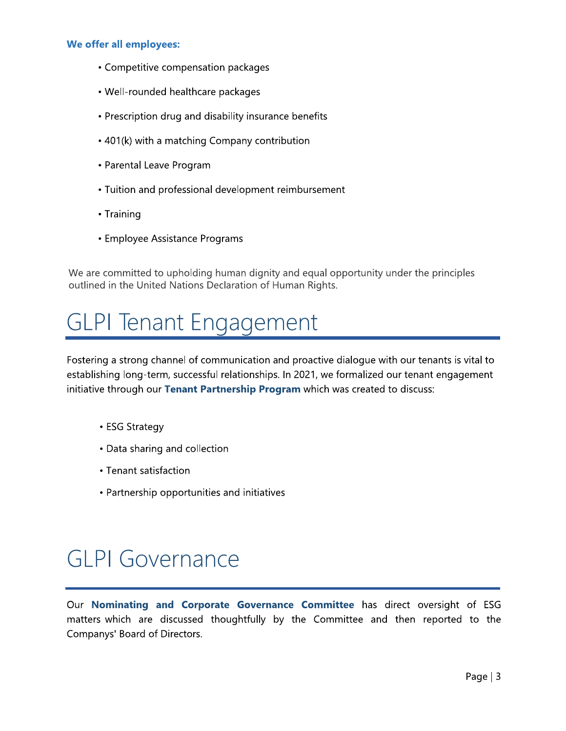#### we offer all employees:

- Competitive compensation packages
- Well-rounded healthcare packages
- Prescription drug and disability insurance benefits
- 401(k) with a matching Company contribution
- Parental Leave Program
- Tuition and professional development reimbursement
- Training
- Employee Assistance Programs

We are committed to upholding human dignity and equal opportunity under the principles outlined in the United Nations Declaration of Human Rights.

### GLPI Tenant Engagement

Fostering a strong channel of communication and proactive dialogue with our tenants is vital to establishing long-term, successful relationships. In 2021, we formalized our tenant engagement initiative through our T**enant Partnership Program** which was created to discuss:

- ESG Strategy
- Data sharing and collection
- Tenant satisfaction
- Partnership opportunities and initiatives

### **GLPI Governance**

Our Nominating and Corporate Governance Committee mance Committee has direct oversight of ESG<br>by the Committee and then reported to the<br>Page | 3 GLPI GOVETNANCE<br>
Our Nominating and Corporate Governance Committee has direct oversight of ESG<br>
matters which are discussed thoughtfully by the Committee and then reported to the<br>
Companys' Board of Directors.<br>
Page | 3 GLPI GOVErnance<br>
Our Nominating and Corporate<br>
matters which are discussed thous<br>
Companys' Board of Directors.